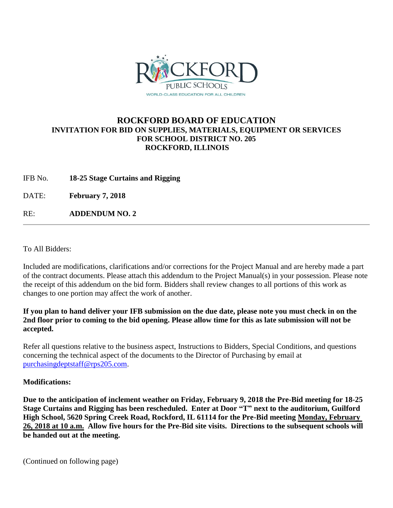

## **ROCKFORD BOARD OF EDUCATION INVITATION FOR BID ON SUPPLIES, MATERIALS, EQUIPMENT OR SERVICES FOR SCHOOL DISTRICT NO. 205 ROCKFORD, ILLINOIS**

IFB No. **18-25 Stage Curtains and Rigging**

DATE: **February 7, 2018**

RE: **ADDENDUM NO. 2**

To All Bidders:

Included are modifications, clarifications and/or corrections for the Project Manual and are hereby made a part of the contract documents. Please attach this addendum to the Project Manual(s) in your possession. Please note the receipt of this addendum on the bid form. Bidders shall review changes to all portions of this work as changes to one portion may affect the work of another.

## **If you plan to hand deliver your IFB submission on the due date, please note you must check in on the 2nd floor prior to coming to the bid opening. Please allow time for this as late submission will not be accepted.**

Refer all questions relative to the business aspect, Instructions to Bidders, Special Conditions, and questions concerning the technical aspect of the documents to the Director of Purchasing by email at [purchasingdeptstaff@rps205.com.](mailto:purchasingdeptstaff@rps205.com)

## **Modifications:**

**Due to the anticipation of inclement weather on Friday, February 9, 2018 the Pre-Bid meeting for 18-25 Stage Curtains and Rigging has been rescheduled. Enter at Door "T" next to the auditorium, Guilford High School, 5620 Spring Creek Road, Rockford, IL 61114 for the Pre-Bid meeting Monday, February 26, 2018 at 10 a.m. Allow five hours for the Pre-Bid site visits. Directions to the subsequent schools will be handed out at the meeting.**

(Continued on following page)